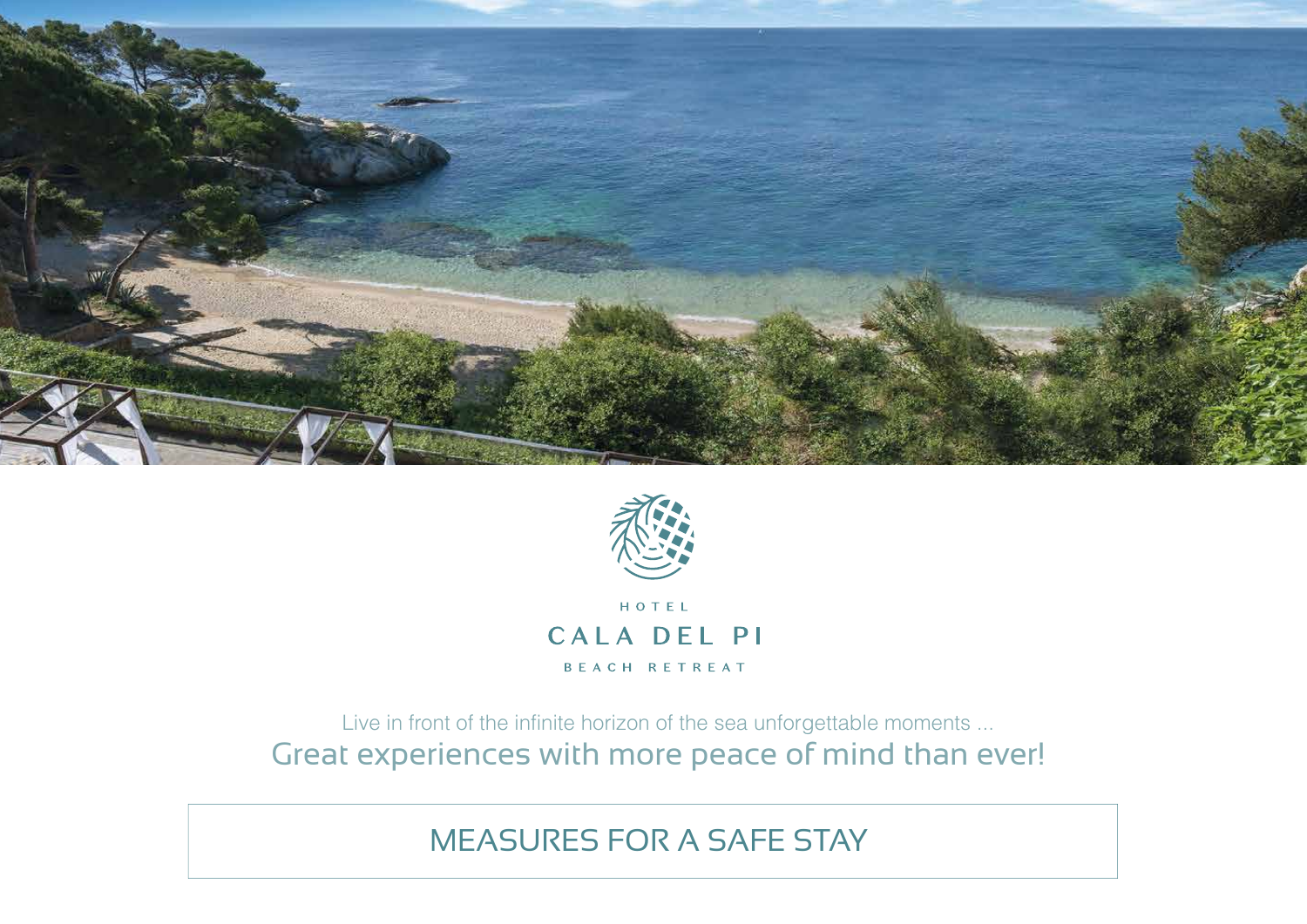



CALA DEL PI BEACH RETREAT

Live in front of the infinite horizon of the sea unforgettable moments ... Great experiences with more peace of mind than ever!

MEASURES FOR A SAFE STAY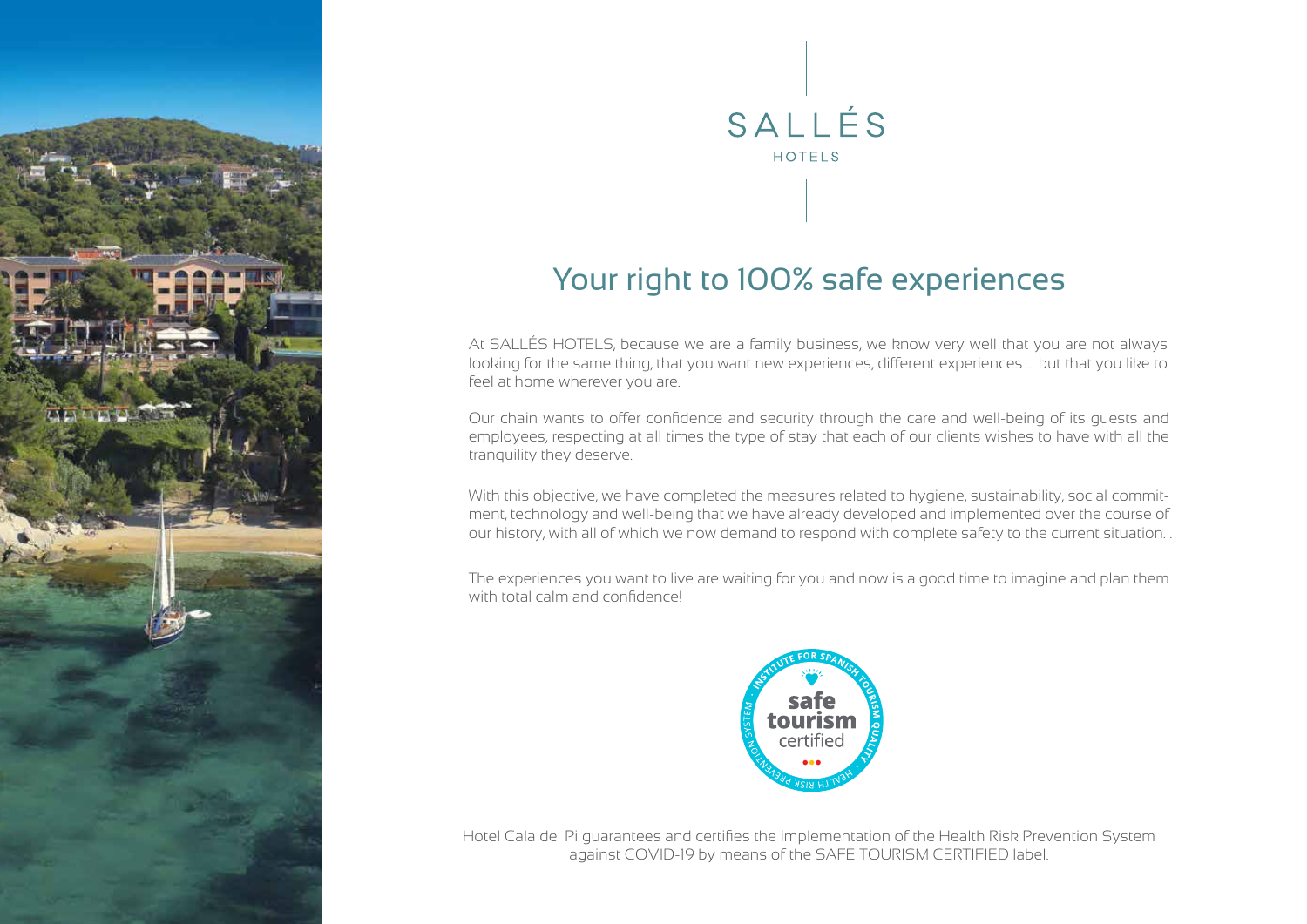



## Your right to 100% safe experiences

At SALLÉS HOTELS, because we are a family business, we know very well that you are not always looking for the same thing, that you want new experiences, different experiences ... but that you like to feel at home wherever you are.

Our chain wants to offer confidence and security through the care and well-being of its guests and employees, respecting at all times the type of stay that each of our clients wishes to have with all the tranquility they deserve.

With this objective, we have completed the measures related to hygiene, sustainability, social commitment, technology and well-being that we have already developed and implemented over the course of our history, with all of which we now demand to respond with complete safety to the current situation. .

The experiences you want to live are waiting for you and now is a good time to imagine and plan them with total calm and confidence!



Hotel Cala del Pi guarantees and certifies the implementation of the Health Risk Prevention System against COVID-19 by means of the SAFE TOURISM CERTIFIED label.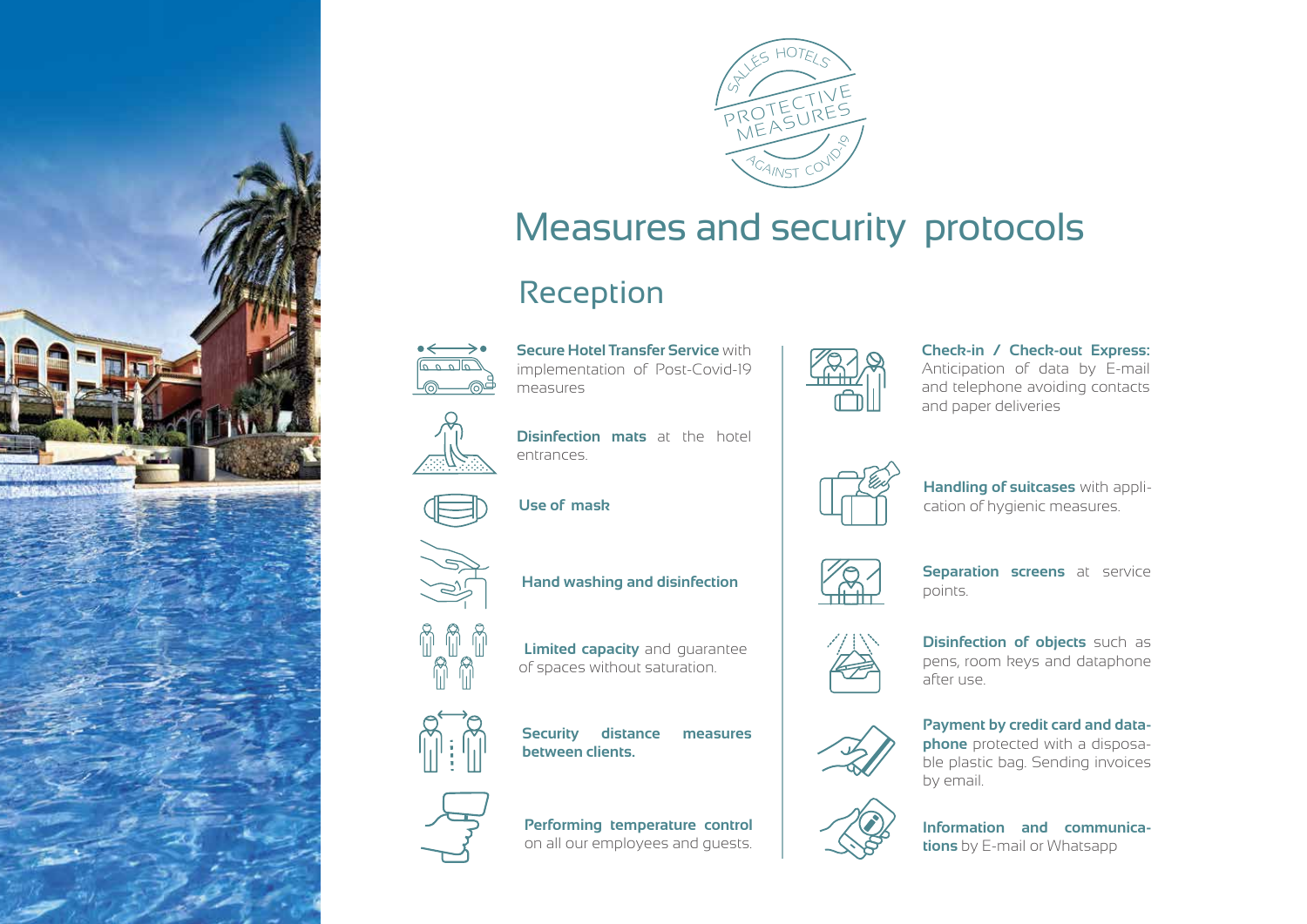



# Measures and security protocols

# Reception



**Secure Hotel Transfer Service** with implementation of Post-Covid-19 measures



### **Check-in / Check-out Express:**

Anticipation of data by E-mail and telephone avoiding contacts and paper deliveries



**Handling of suitcases** with application of hygienic measures.



**Separation screens** at service points.



**Disinfection of objects** such as pens, room keys and dataphone after use.



**Payment by credit card and dataphone** protected with a disposable plastic bag. Sending invoices by email.



**Information and communications** by E-mail or Whatsapp



**Disinfection mats** at the hotel entrances.









**Hand washing and disinfection**

 **Limited capacity** and guarantee of spaces without saturation.

**Security distance measures** 

**between clients.**

**Performing temperature control**  on all our employees and guests.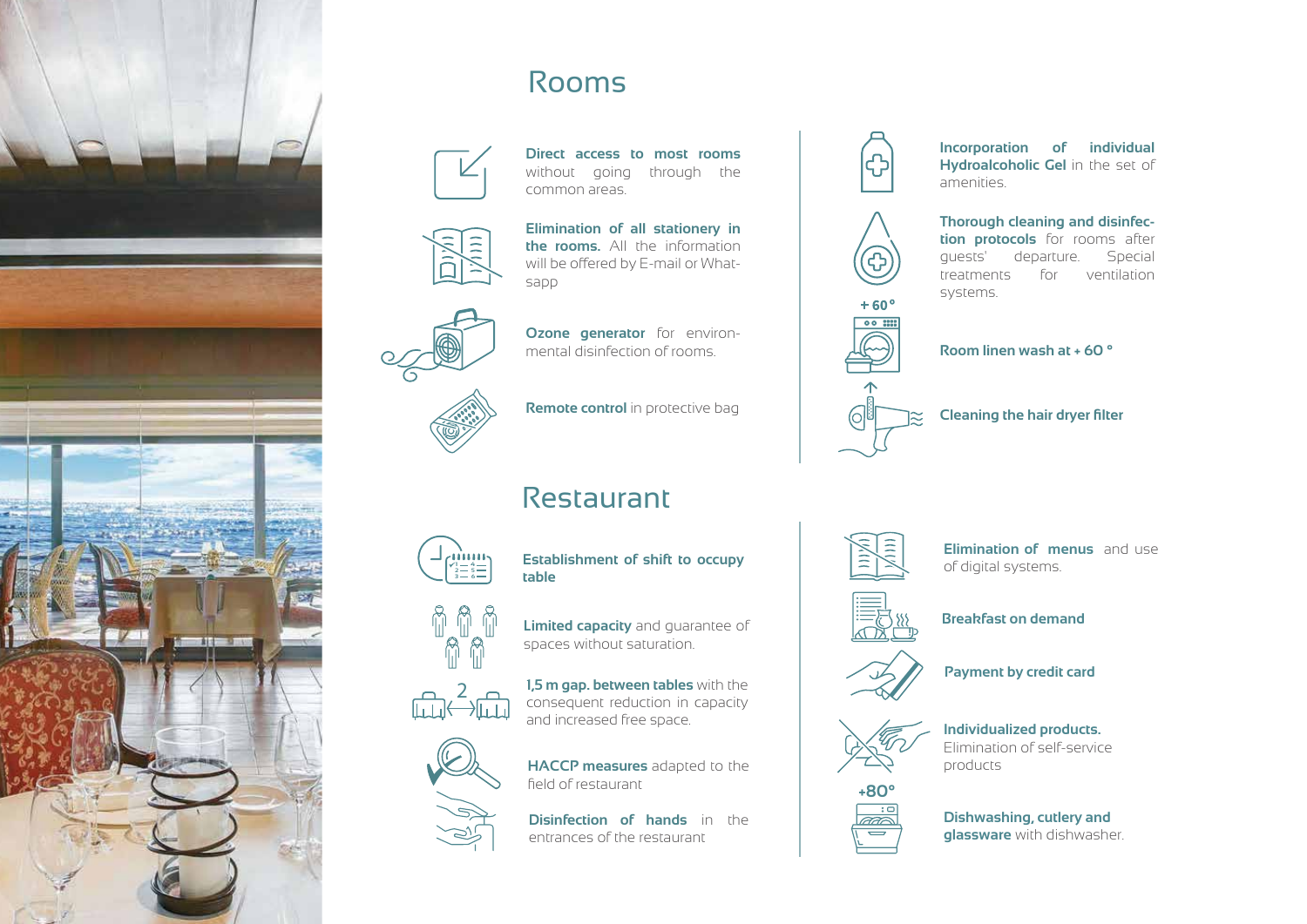

## Rooms



**Direct access to most rooms**  without going through the common areas.



**Elimination of all stationery in the rooms.** All the information will be offered by E-mail or Whatsapp



**Ozone generator** for environmental disinfection of rooms.

**Remote control** in protective bag

## Restaurant



**Establishment of shift to occupy table**

**Limited capacity** and guarantee of

**1,5 m gap. between tables** with the consequent reduction in capacity

spaces without saturation.

and increased free space.







**HACCP measures** adapted to the field of restaurant

**Disinfection of hands** in the entrances of the restaurant



**Incorporation of individual Hydroalcoholic Gel** in the set of amenities.



**Thorough cleaning and disinfection protocols** for rooms after guests' departure. Special treatments for ventilation systems.





**Cleaning the hair dryer filter**



**Elimination of menus** and use of digital systems.



**Breakfast on demand**



**Payment by credit card**



**Individualized products.**  Elimination of self-service products



**Dishwashing, cutlery and glassware** with dishwasher.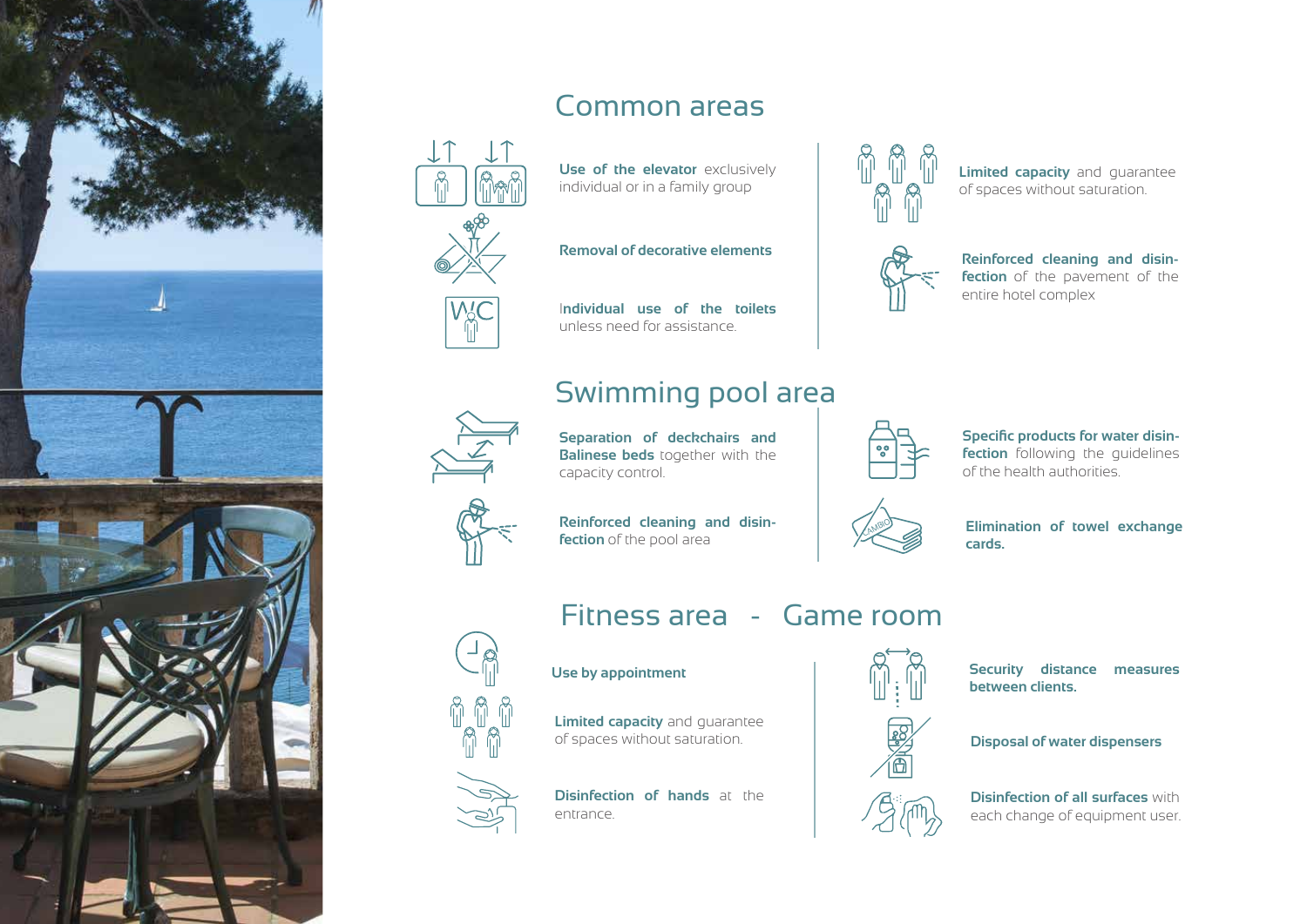

# Common areas



**Use of the elevator** exclusively individual or in a family group

**Removal of decorative elements**

I**ndividual use of the toilets**  unless need for assistance.

## Swimming pool area



**Separation of deckchairs and Balinese beds** together with the capacity control.

**Reinforced cleaning and disinfection** of the pool area



**Limited capacity** and guarantee of spaces without saturation.



**Reinforced cleaning and disinfection** of the pavement of the entire hotel complex



**Specific products for water disinfection** following the quidelines of the health authorities.



**Elimination of towel exchange cards.**

Fitness area - Game room

#### **Use by appointment**





**Limited capacity** and guarantee of spaces without saturation.



**Disinfection of hands** at the



**Security distance measures between clients.**

**Disposal of water dispensers**



**Disinfection of all surfaces** with each change of equipment user.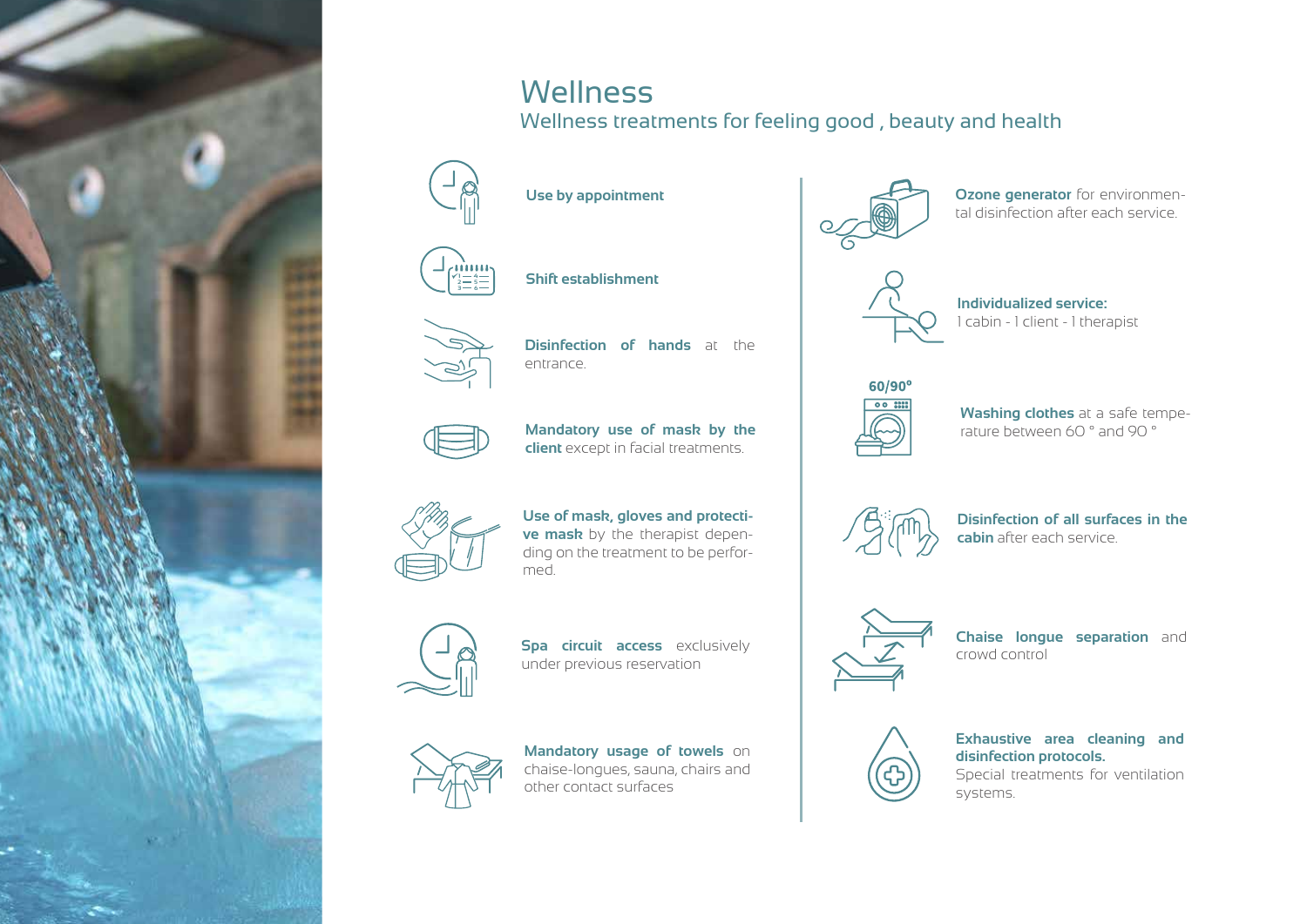

## **Wellness**

Wellness treatments for feeling good , beauty and health



**Use by appointment**



**Shift establishment <sup>1</sup>**



**Disinfection of hands** at the entrance.



**Mandatory use of mask by the client** except in facial treatments.



**Use of mask, gloves and protective mask** by the therapist depending on the treatment to be performed.



**Spa circuit access** exclusively under previous reservation



**Mandatory usage of towels** on chaise-longues, sauna, chairs and other contact surfaces



**Ozone generator** for environmental disinfection after each service.



**Individualized service:** 1 cabin - 1 client - 1 therapist



**Washing clothes** at a safe temperature between 60 ° and 90 °



**Disinfection of all surfaces in the cabin** after each service.



**Chaise longue separation** and crowd control



**Exhaustive area cleaning and disinfection protocols.**

Special treatments for ventilation systems.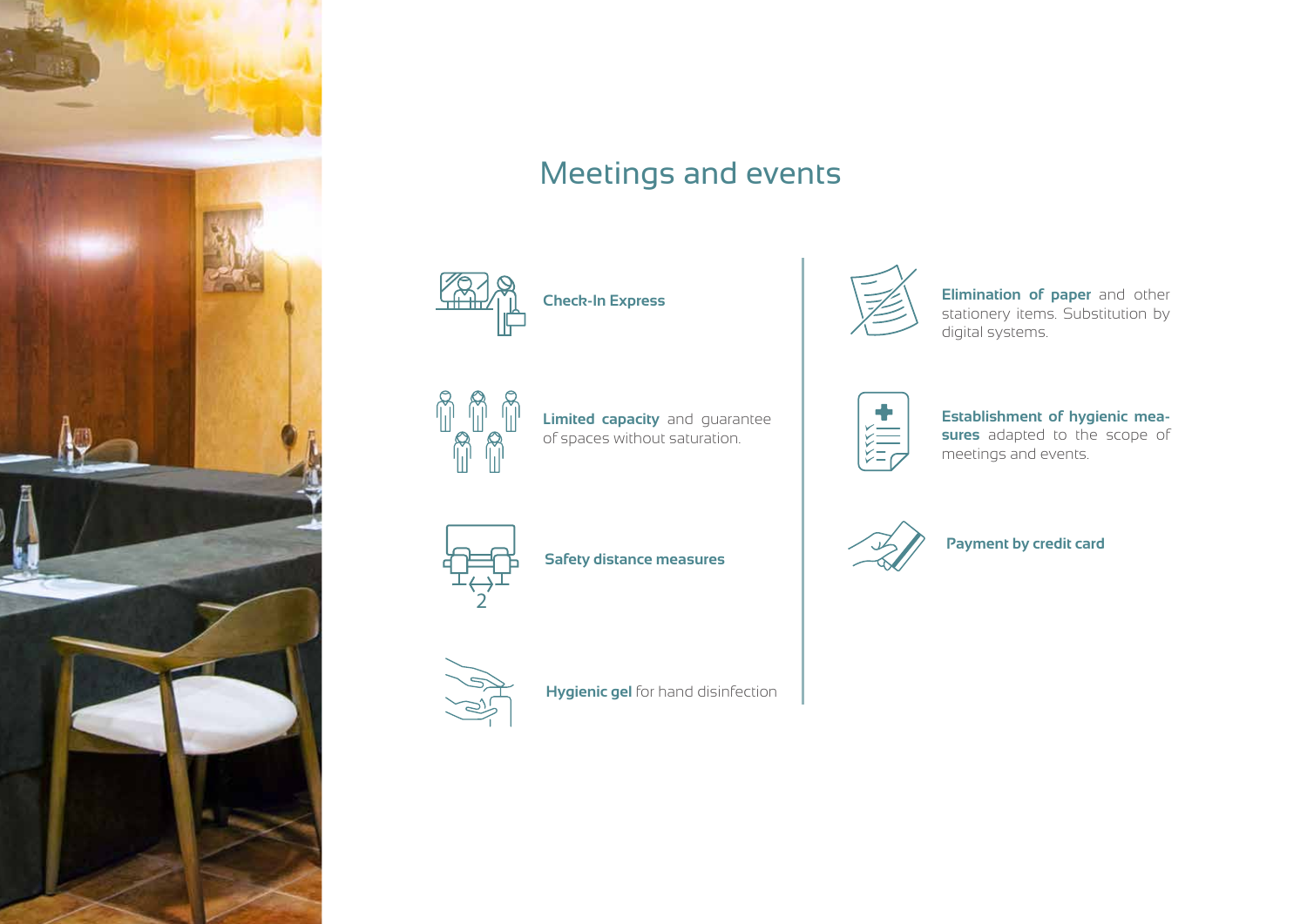

## Meetings and events





**Check-In Express**



**Limited capacity** and guarantee of spaces without saturation.



**Elimination of paper** and other stationery items. Substitution by digital systems.

**Establishment of hygienic measures** adapted to the scope of meetings and events.





**Safety distance measures**

**Hygienic gel** for hand disinfection



**Payment by credit card**